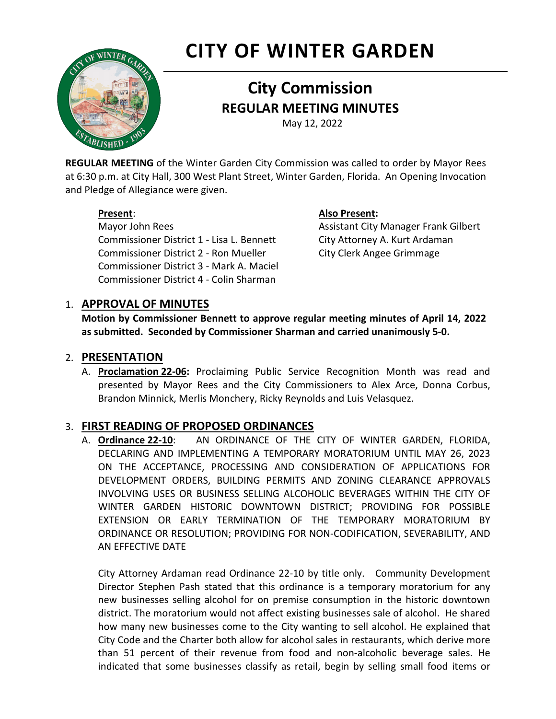# **CITY OF WINTER GARDEN**



## **City Commission REGULAR MEETING MINUTES**

May 12, 2022

**REGULAR MEETING** of the Winter Garden City Commission was called to order by Mayor Rees at 6:30 p.m. at City Hall, 300 West Plant Street, Winter Garden, Florida. An Opening Invocation and Pledge of Allegiance were given.

Mayor John Rees **Assistant City Manager Frank Gilbert** Assistant City Manager Frank Gilbert Commissioner District 1 - Lisa L. Bennett City Attorney A. Kurt Ardaman Commissioner District 2 - Ron Mueller City Clerk Angee Grimmage Commissioner District 3 - Mark A. Maciel Commissioner District 4 - Colin Sharman

#### **Present**: **Also Present:**

### 1. **APPROVAL OF MINUTES**

**Motion by Commissioner Bennett to approve regular meeting minutes of April 14, 2022 as submitted. Seconded by Commissioner Sharman and carried unanimously 5-0.**

#### 2. **PRESENTATION**

A. **Proclamation 22-06:** Proclaiming Public Service Recognition Month was read and presented by Mayor Rees and the City Commissioners to Alex Arce, Donna Corbus, Brandon Minnick, Merlis Monchery, Ricky Reynolds and Luis Velasquez.

### 3. **FIRST READING OF PROPOSED ORDINANCES**

A. **Ordinance 22-10**: AN ORDINANCE OF THE CITY OF WINTER GARDEN, FLORIDA, DECLARING AND IMPLEMENTING A TEMPORARY MORATORIUM UNTIL MAY 26, 2023 ON THE ACCEPTANCE, PROCESSING AND CONSIDERATION OF APPLICATIONS FOR DEVELOPMENT ORDERS, BUILDING PERMITS AND ZONING CLEARANCE APPROVALS INVOLVING USES OR BUSINESS SELLING ALCOHOLIC BEVERAGES WITHIN THE CITY OF WINTER GARDEN HISTORIC DOWNTOWN DISTRICT; PROVIDING FOR POSSIBLE EXTENSION OR EARLY TERMINATION OF THE TEMPORARY MORATORIUM BY ORDINANCE OR RESOLUTION; PROVIDING FOR NON-CODIFICATION, SEVERABILITY, AND AN EFFECTIVE DATE

City Attorney Ardaman read Ordinance 22-10 by title only. Community Development Director Stephen Pash stated that this ordinance is a temporary moratorium for any new businesses selling alcohol for on premise consumption in the historic downtown district. The moratorium would not affect existing businesses sale of alcohol. He shared how many new businesses come to the City wanting to sell alcohol. He explained that City Code and the Charter both allow for alcohol sales in restaurants, which derive more than 51 percent of their revenue from food and non-alcoholic beverage sales. He indicated that some businesses classify as retail, begin by selling small food items or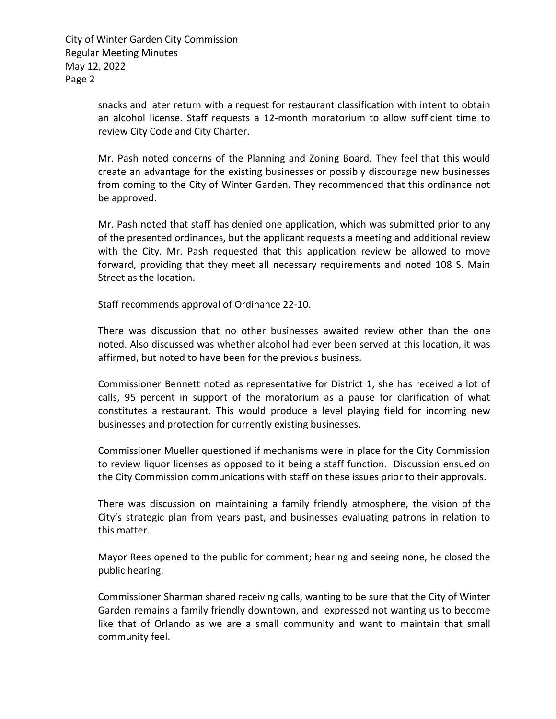Page 2 City of Winter Garden City Commission Regular Meeting Minutes May 12, 2022

> snacks and later return with a request for restaurant classification with intent to obtain an alcohol license. Staff requests a 12-month moratorium to allow sufficient time to review City Code and City Charter.

> Mr. Pash noted concerns of the Planning and Zoning Board. They feel that this would create an advantage for the existing businesses or possibly discourage new businesses from coming to the City of Winter Garden. They recommended that this ordinance not be approved.

> Mr. Pash noted that staff has denied one application, which was submitted prior to any of the presented ordinances, but the applicant requests a meeting and additional review with the City. Mr. Pash requested that this application review be allowed to move forward, providing that they meet all necessary requirements and noted 108 S. Main Street as the location.

Staff recommends approval of Ordinance 22-10.

There was discussion that no other businesses awaited review other than the one noted. Also discussed was whether alcohol had ever been served at this location, it was affirmed, but noted to have been for the previous business.

Commissioner Bennett noted as representative for District 1, she has received a lot of calls, 95 percent in support of the moratorium as a pause for clarification of what constitutes a restaurant. This would produce a level playing field for incoming new businesses and protection for currently existing businesses.

Commissioner Mueller questioned if mechanisms were in place for the City Commission to review liquor licenses as opposed to it being a staff function. Discussion ensued on the City Commission communications with staff on these issues prior to their approvals.

There was discussion on maintaining a family friendly atmosphere, the vision of the City's strategic plan from years past, and businesses evaluating patrons in relation to this matter.

Mayor Rees opened to the public for comment; hearing and seeing none, he closed the public hearing.

Commissioner Sharman shared receiving calls, wanting to be sure that the City of Winter Garden remains a family friendly downtown, and expressed not wanting us to become like that of Orlando as we are a small community and want to maintain that small community feel.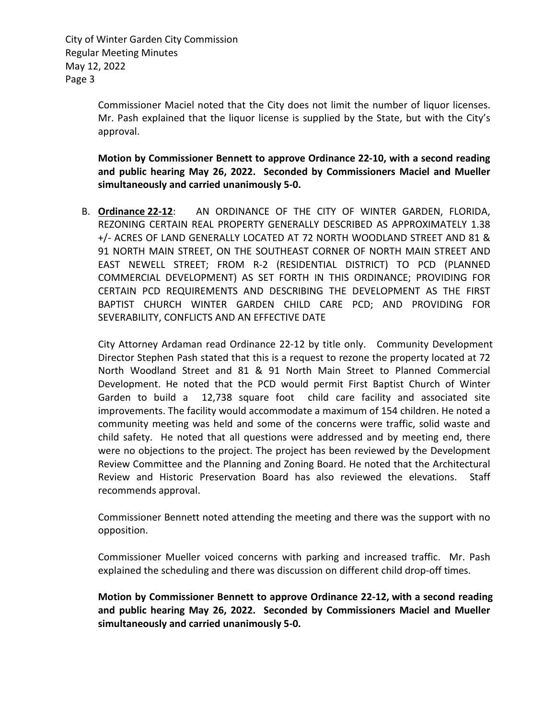Page 3 City of Winter Garden City Commission Regular Meeting Minutes May 12, 2022

> Commissioner Maciel noted that the City does not limit the number of liquor licenses. Mr. Pash explained that the liquor license is supplied by the State, but with the City's approval.

> **Motion by Commissioner Bennett to approve Ordinance 22-10, with a second reading and public hearing May 26, 2022. Seconded by Commissioners Maciel and Mueller simultaneously and carried unanimously 5-0.**

B. **Ordinance 22-12**: AN ORDINANCE OF THE CITY OF WINTER GARDEN, FLORIDA, +/- ACRES OF LAND GENERALLY LOCATED AT 72 NORTH WOODLAND STREET AND 81 & COMMERCIAL DEVELOPMENT) AS SET FORTH IN THIS ORDINANCE; PROVIDING FOR CERTAIN PCD REQUIREMENTS AND DESCRIBING THE DEVELOPMENT AS THE FIRST REZONING CERTAIN REAL PROPERTY GENERALLY DESCRIBED AS APPROXIMATELY 1.38 91 NORTH MAIN STREET, ON THE SOUTHEAST CORNER OF NORTH MAIN STREET AND EAST NEWELL STREET; FROM R-2 (RESIDENTIAL DISTRICT) TO PCD (PLANNED BAPTIST CHURCH WINTER GARDEN CHILD CARE PCD; AND PROVIDING FOR SEVERABILITY, CONFLICTS AND AN EFFECTIVE DATE

 City Attorney Ardaman read Ordinance 22-12 by title only. Community Development Director Stephen Pash stated that this is a request to rezone the property located at 72 Garden to build a 12,738 square foot child care facility and associated site improvements. The facility would accommodate a maximum of 154 children. He noted a North Woodland Street and 81 & 91 North Main Street to Planned Commercial Development. He noted that the PCD would permit First Baptist Church of Winter community meeting was held and some of the concerns were traffic, solid waste and child safety. He noted that all questions were addressed and by meeting end, there were no objections to the project. The project has been reviewed by the Development Review Committee and the Planning and Zoning Board. He noted that the Architectural Review and Historic Preservation Board has also reviewed the elevations. Staff recommends approval.

Commissioner Bennett noted attending the meeting and there was the support with no opposition.

Commissioner Mueller voiced concerns with parking and increased traffic. Mr. Pash explained the scheduling and there was discussion on different child drop-off times.

**Motion by Commissioner Bennett to approve Ordinance 22-12, with a second reading and public hearing May 26, 2022. Seconded by Commissioners Maciel and Mueller simultaneously and carried unanimously 5-0.**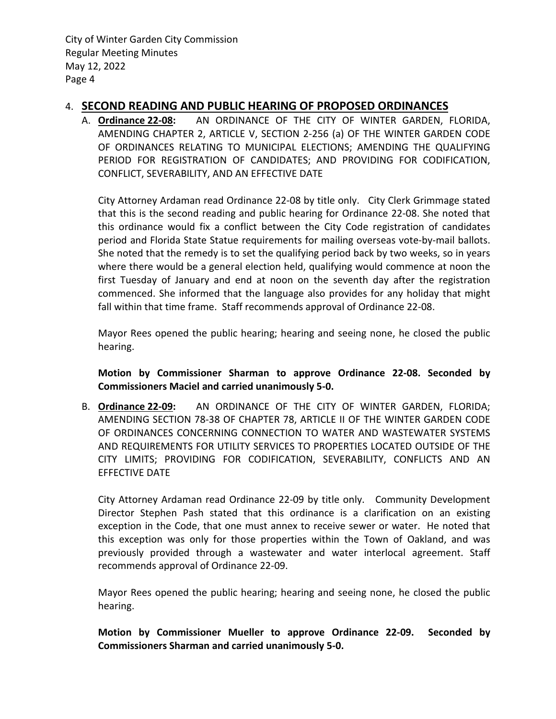Page 4 City of Winter Garden City Commission Regular Meeting Minutes May 12, 2022

#### 4. **SECOND READING AND PUBLIC HEARING OF PROPOSED ORDINANCES**

A. **Ordinance 22-08:** AN ORDINANCE OF THE CITY OF WINTER GARDEN, FLORIDA, AMENDING CHAPTER 2, ARTICLE V, SECTION 2-256 (a) OF THE WINTER GARDEN CODE OF ORDINANCES RELATING TO MUNICIPAL ELECTIONS; AMENDING THE QUALIFYING PERIOD FOR REGISTRATION OF CANDIDATES; AND PROVIDING FOR CODIFICATION, CONFLICT, SEVERABILITY, AND AN EFFECTIVE DATE

City Attorney Ardaman read Ordinance 22-08 by title only. City Clerk Grimmage stated that this is the second reading and public hearing for Ordinance 22-08. She noted that this ordinance would fix a conflict between the City Code registration of candidates period and Florida State Statue requirements for mailing overseas vote-by-mail ballots. She noted that the remedy is to set the qualifying period back by two weeks, so in years where there would be a general election held, qualifying would commence at noon the first Tuesday of January and end at noon on the seventh day after the registration commenced. She informed that the language also provides for any holiday that might fall within that time frame. Staff recommends approval of Ordinance 22-08.

Mayor Rees opened the public hearing; hearing and seeing none, he closed the public hearing.

**Motion by Commissioner Sharman to approve Ordinance 22-08. Seconded by Commissioners Maciel and carried unanimously 5-0.**

B. **Ordinance 22-09:** AN ORDINANCE OF THE CITY OF WINTER GARDEN, FLORIDA; AMENDING SECTION 78-38 OF CHAPTER 78, ARTICLE II OF THE WINTER GARDEN CODE OF ORDINANCES CONCERNING CONNECTION TO WATER AND WASTEWATER SYSTEMS AND REQUIREMENTS FOR UTILITY SERVICES TO PROPERTIES LOCATED OUTSIDE OF THE CITY LIMITS; PROVIDING FOR CODIFICATION, SEVERABILITY, CONFLICTS AND AN EFFECTIVE DATE

City Attorney Ardaman read Ordinance 22-09 by title only. Community Development Director Stephen Pash stated that this ordinance is a clarification on an existing exception in the Code, that one must annex to receive sewer or water. He noted that this exception was only for those properties within the Town of Oakland, and was previously provided through a wastewater and water interlocal agreement. Staff recommends approval of Ordinance 22-09.

Mayor Rees opened the public hearing; hearing and seeing none, he closed the public hearing.

**Motion by Commissioner Mueller to approve Ordinance 22-09. Seconded by Commissioners Sharman and carried unanimously 5-0.**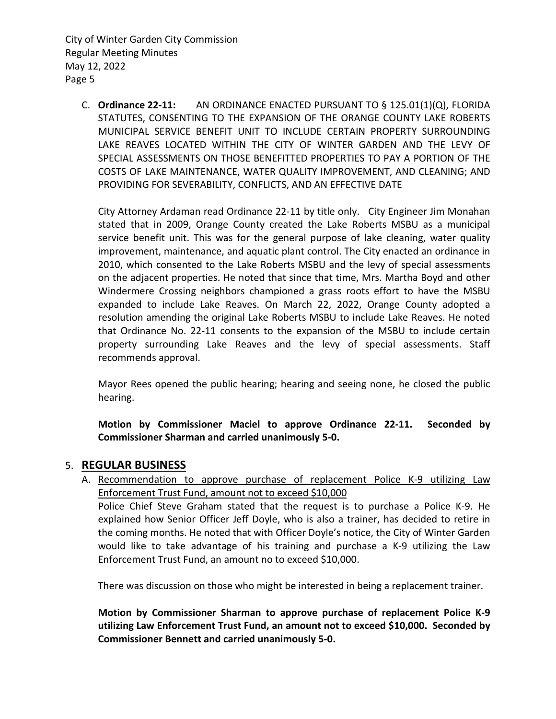C. **Ordinance 22-11:** AN ORDINANCE ENACTED PURSUANT TO § 125.01(1)(Q), FLORIDA STATUTES, CONSENTING TO THE EXPANSION OF THE ORANGE COUNTY LAKE ROBERTS MUNICIPAL SERVICE BENEFIT UNIT TO INCLUDE CERTAIN PROPERTY SURROUNDING LAKE REAVES LOCATED WITHIN THE CITY OF WINTER GARDEN AND THE LEVY OF SPECIAL ASSESSMENTS ON THOSE BENEFITTED PROPERTIES TO PAY A PORTION OF THE COSTS OF LAKE MAINTENANCE, WATER QUALITY IMPROVEMENT, AND CLEANING; AND PROVIDING FOR SEVERABILITY, CONFLICTS, AND AN EFFECTIVE DATE

City Attorney Ardaman read Ordinance 22-11 by title only. City Engineer Jim Monahan stated that in 2009, Orange County created the Lake Roberts MSBU as a municipal service benefit unit. This was for the general purpose of lake cleaning, water quality improvement, maintenance, and aquatic plant control. The City enacted an ordinance in 2010, which consented to the Lake Roberts MSBU and the levy of special assessments on the adjacent properties. He noted that since that time, Mrs. Martha Boyd and other Windermere Crossing neighbors championed a grass roots effort to have the MSBU expanded to include Lake Reaves. On March 22, 2022, Orange County adopted a resolution amending the original Lake Roberts MSBU to include Lake Reaves. He noted that Ordinance No. 22-11 consents to the expansion of the MSBU to include certain property surrounding Lake Reaves and the levy of special assessments. Staff recommends approval.

Mayor Rees opened the public hearing; hearing and seeing none, he closed the public hearing.

**Motion by Commissioner Maciel to approve Ordinance 22-11. Seconded by Commissioner Sharman and carried unanimously 5-0.**

#### 5. **REGULAR BUSINESS**

A. Recommendation to approve purchase of replacement Police K-9 utilizing Law Enforcement Trust Fund, amount not to exceed \$10,000 Police Chief Steve Graham stated that the request is to purchase a Police K-9. He explained how Senior Officer Jeff Doyle, who is also a trainer, has decided to retire in the coming months. He noted that with Officer Doyle's notice, the City of Winter Garden would like to take advantage of his training and purchase a K-9 utilizing the Law Enforcement Trust Fund, an amount no to exceed \$10,000.

There was discussion on those who might be interested in being a replacement trainer.

**Motion by Commissioner Sharman to approve purchase of replacement Police K-9 utilizing Law Enforcement Trust Fund, an amount not to exceed \$10,000. Seconded by Commissioner Bennett and carried unanimously 5-0.**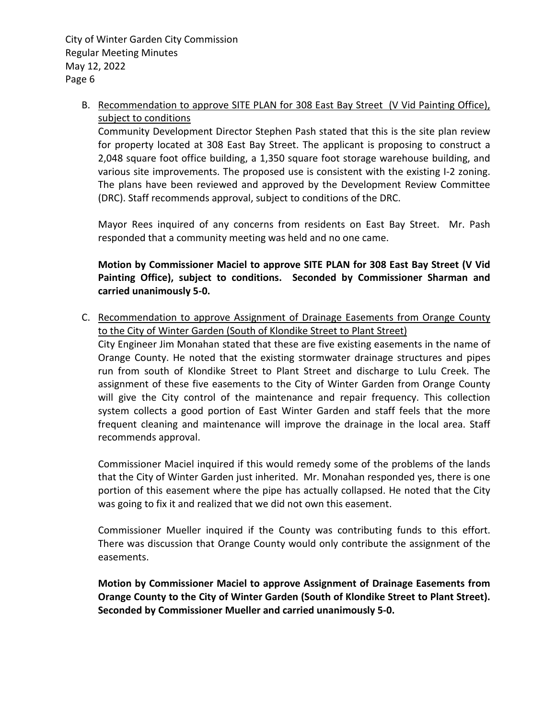B. Recommendation to approve SITE PLAN for 308 East Bay Street (V Vid Painting Office), subject to conditions

Community Development Director Stephen Pash stated that this is the site plan review for property located at 308 East Bay Street. The applicant is proposing to construct a 2,048 square foot office building, a 1,350 square foot storage warehouse building, and various site improvements. The proposed use is consistent with the existing I-2 zoning. The plans have been reviewed and approved by the Development Review Committee (DRC). Staff recommends approval, subject to conditions of the DRC.

Mayor Rees inquired of any concerns from residents on East Bay Street. Mr. Pash responded that a community meeting was held and no one came.

**Motion by Commissioner Maciel to approve SITE PLAN for 308 East Bay Street (V Vid Painting Office), subject to conditions. Seconded by Commissioner Sharman and carried unanimously 5-0.**

C. Recommendation to approve Assignment of Drainage Easements from Orange County to the City of Winter Garden (South of Klondike Street to Plant Street) City Engineer Jim Monahan stated that these are five existing easements in the name of Orange County. He noted that the existing stormwater drainage structures and pipes run from south of Klondike Street to Plant Street and discharge to Lulu Creek. The assignment of these five easements to the City of Winter Garden from Orange County will give the City control of the maintenance and repair frequency. This collection system collects a good portion of East Winter Garden and staff feels that the more frequent cleaning and maintenance will improve the drainage in the local area. Staff recommends approval.

Commissioner Maciel inquired if this would remedy some of the problems of the lands that the City of Winter Garden just inherited. Mr. Monahan responded yes, there is one portion of this easement where the pipe has actually collapsed. He noted that the City was going to fix it and realized that we did not own this easement.

Commissioner Mueller inquired if the County was contributing funds to this effort. There was discussion that Orange County would only contribute the assignment of the easements.

**Motion by Commissioner Maciel to approve Assignment of Drainage Easements from Orange County to the City of Winter Garden (South of Klondike Street to Plant Street). Seconded by Commissioner Mueller and carried unanimously 5-0.**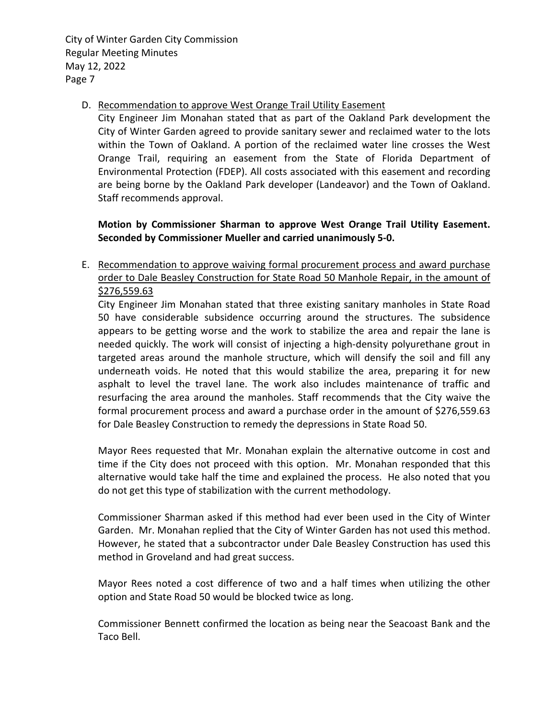Page 7 City of Winter Garden City Commission Regular Meeting Minutes May 12, 2022

#### D. Recommendation to approve West Orange Trail Utility Easement

City Engineer Jim Monahan stated that as part of the Oakland Park development the City of Winter Garden agreed to provide sanitary sewer and reclaimed water to the lots within the Town of Oakland. A portion of the reclaimed water line crosses the West Orange Trail, requiring an easement from the State of Florida Department of Environmental Protection (FDEP). All costs associated with this easement and recording are being borne by the Oakland Park developer (Landeavor) and the Town of Oakland. Staff recommends approval.

**Motion by Commissioner Sharman to approve West Orange Trail Utility Easement. Seconded by Commissioner Mueller and carried unanimously 5-0.**

#### E. Recommendation to approve waiving formal procurement process and award purchase order to Dale Beasley Construction for State Road 50 Manhole Repair, in the amount of [\\$276,559.63](https://276,559.63)

City Engineer Jim Monahan stated that three existing sanitary manholes in State Road 50 have considerable subsidence occurring around the structures. The subsidence appears to be getting worse and the work to stabilize the area and repair the lane is needed quickly. The work will consist of injecting a high-density polyurethane grout in targeted areas around the manhole structure, which will densify the soil and fill any underneath voids. He noted that this would stabilize the area, preparing it for new asphalt to level the travel lane. The work also includes maintenance of traffic and resurfacing the area around the manholes. Staff recommends that the City waive the formal procurement process and award a purchase order in the amount of \$[276,559.63](https://276,559.63) for Dale Beasley Construction to remedy the depressions in State Road 50.

Mayor Rees requested that Mr. Monahan explain the alternative outcome in cost and time if the City does not proceed with this option. Mr. Monahan responded that this alternative would take half the time and explained the process. He also noted that you do not get this type of stabilization with the current methodology.

Commissioner Sharman asked if this method had ever been used in the City of Winter Garden. Mr. Monahan replied that the City of Winter Garden has not used this method. However, he stated that a subcontractor under Dale Beasley Construction has used this method in Groveland and had great success.

Mayor Rees noted a cost difference of two and a half times when utilizing the other option and State Road 50 would be blocked twice as long.

Commissioner Bennett confirmed the location as being near the Seacoast Bank and the Taco Bell.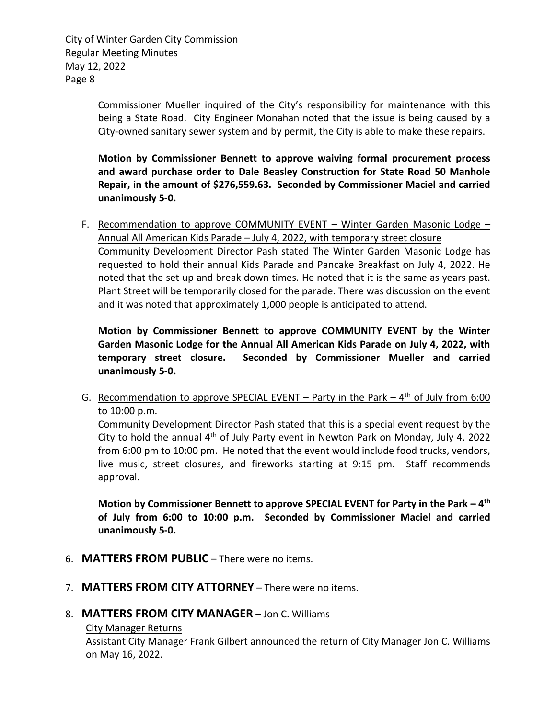Page 8 City of Winter Garden City Commission Regular Meeting Minutes May 12, 2022

> Commissioner Mueller inquired of the City's responsibility for maintenance with this being a State Road. City Engineer Monahan noted that the issue is being caused by a City-owned sanitary sewer system and by permit, the City is able to make these repairs.

> **Motion by Commissioner Bennett to approve waiving formal procurement process and award purchase order to Dale Beasley Construction for State Road 50 Manhole Repair, in the amount of [\\$276,559.63.](https://276,559.63) Seconded by Commissioner Maciel and carried unanimously 5-0.**

F. Recommendation to approve COMMUNITY EVENT - Winter Garden Masonic Lodge -Annual All American Kids Parade – July 4, 2022, with temporary street closure Community Development Director Pash stated The Winter Garden Masonic Lodge has requested to hold their annual Kids Parade and Pancake Breakfast on July 4, 2022. He noted that the set up and break down times. He noted that it is the same as years past. Plant Street will be temporarily closed for the parade. There was discussion on the event and it was noted that approximately 1,000 people is anticipated to attend.

**Motion by Commissioner Bennett to approve COMMUNITY EVENT by the Winter Garden Masonic Lodge for the Annual All American Kids Parade on July 4, 2022, with temporary street closure. Seconded by Commissioner Mueller and carried unanimously 5-0.**

G. Recommendation to approve SPECIAL EVENT – Party in the Park –  $4<sup>th</sup>$  of July from 6:00 to 10:00 p.m.

Community Development Director Pash stated that this is a special event request by the City to hold the annual  $4<sup>th</sup>$  of July Party event in Newton Park on Monday, July 4, 2022 from 6:00 pm to 10:00 pm. He noted that the event would include food trucks, vendors, live music, street closures, and fireworks starting at 9:15 pm. Staff recommends approval.

**Motion by Commissioner Bennett to approve SPECIAL EVENT for Party in the Park – 4th of July from 6:00 to 10:00 p.m. Seconded by Commissioner Maciel and carried unanimously 5-0.**

- 6. **MATTERS FROM PUBLIC**  There were no items.
- 7. **MATTERS FROM CITY ATTORNEY**  There were no items.
- 8. **MATTERS FROM CITY MANAGER**  Jon C. Williams

#### City Manager Returns

Assistant City Manager Frank Gilbert announced the return of City Manager Jon C. Williams on May 16, 2022.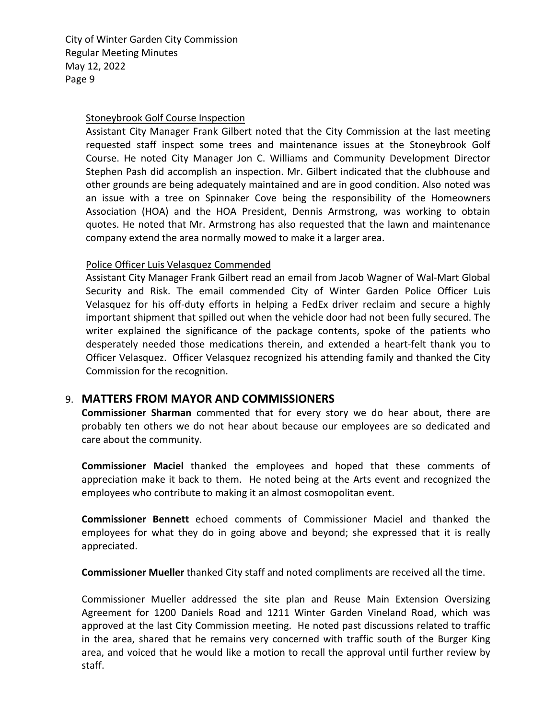Page 9 City of Winter Garden City Commission Regular Meeting Minutes May 12, 2022

#### Stoneybrook Golf Course Inspection

Assistant City Manager Frank Gilbert noted that the City Commission at the last meeting requested staff inspect some trees and maintenance issues at the Stoneybrook Golf Course. He noted City Manager Jon C. Williams and Community Development Director Stephen Pash did accomplish an inspection. Mr. Gilbert indicated that the clubhouse and other grounds are being adequately maintained and are in good condition. Also noted was an issue with a tree on Spinnaker Cove being the responsibility of the Homeowners Association (HOA) and the HOA President, Dennis Armstrong, was working to obtain quotes. He noted that Mr. Armstrong has also requested that the lawn and maintenance company extend the area normally mowed to make it a larger area.

#### Police Officer Luis Velasquez Commended

Assistant City Manager Frank Gilbert read an email from Jacob Wagner of Wal-Mart Global Security and Risk. The email commended City of Winter Garden Police Officer Luis Velasquez for his off-duty efforts in helping a FedEx driver reclaim and secure a highly important shipment that spilled out when the vehicle door had not been fully secured. The writer explained the significance of the package contents, spoke of the patients who desperately needed those medications therein, and extended a heart-felt thank you to Officer Velasquez. Officer Velasquez recognized his attending family and thanked the City Commission for the recognition.

#### 9. **MATTERS FROM MAYOR AND COMMISSIONERS**

**Commissioner Sharman** commented that for every story we do hear about, there are probably ten others we do not hear about because our employees are so dedicated and care about the community.

**Commissioner Maciel** thanked the employees and hoped that these comments of appreciation make it back to them. He noted being at the Arts event and recognized the employees who contribute to making it an almost cosmopolitan event.

**Commissioner Bennett** echoed comments of Commissioner Maciel and thanked the employees for what they do in going above and beyond; she expressed that it is really appreciated.

**Commissioner Mueller** thanked City staff and noted compliments are received all the time.

Commissioner Mueller addressed the site plan and Reuse Main Extension Oversizing Agreement for 1200 Daniels Road and 1211 Winter Garden Vineland Road, which was approved at the last City Commission meeting. He noted past discussions related to traffic in the area, shared that he remains very concerned with traffic south of the Burger King area, and voiced that he would like a motion to recall the approval until further review by staff.